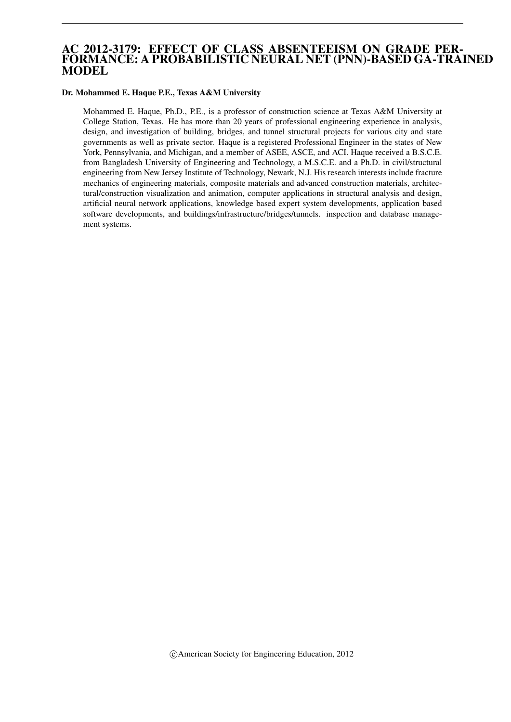# AC 2012-3179: EFFECT OF CLASS ABSENTEEISM ON GRADE PER-FORMANCE: A PROBABILISTIC NEURAL NET (PNN)-BASED GA-TRAINED MODEL

#### Dr. Mohammed E. Haque P.E., Texas A&M University

Mohammed E. Haque, Ph.D., P.E., is a professor of construction science at Texas A&M University at College Station, Texas. He has more than 20 years of professional engineering experience in analysis, design, and investigation of building, bridges, and tunnel structural projects for various city and state governments as well as private sector. Haque is a registered Professional Engineer in the states of New York, Pennsylvania, and Michigan, and a member of ASEE, ASCE, and ACI. Haque received a B.S.C.E. from Bangladesh University of Engineering and Technology, a M.S.C.E. and a Ph.D. in civil/structural engineering from New Jersey Institute of Technology, Newark, N.J. His research interests include fracture mechanics of engineering materials, composite materials and advanced construction materials, architectural/construction visualization and animation, computer applications in structural analysis and design, artificial neural network applications, knowledge based expert system developments, application based software developments, and buildings/infrastructure/bridges/tunnels. inspection and database management systems.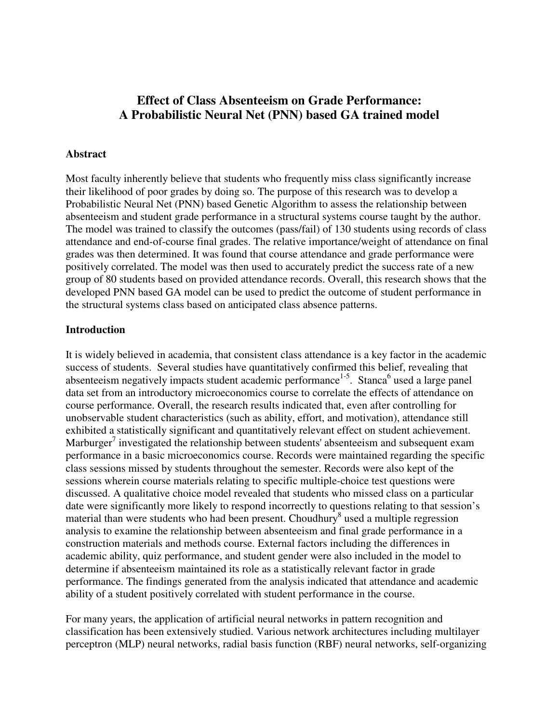# **Effect of Class Absenteeism on Grade Performance: A Probabilistic Neural Net (PNN) based GA trained model**

#### **Abstract**

Most faculty inherently believe that students who frequently miss class significantly increase their likelihood of poor grades by doing so. The purpose of this research was to develop a Probabilistic Neural Net (PNN) based Genetic Algorithm to assess the relationship between absenteeism and student grade performance in a structural systems course taught by the author. The model was trained to classify the outcomes (pass/fail) of 130 students using records of class attendance and end-of-course final grades. The relative importance/weight of attendance on final grades was then determined. It was found that course attendance and grade performance were positively correlated. The model was then used to accurately predict the success rate of a new group of 80 students based on provided attendance records. Overall, this research shows that the developed PNN based GA model can be used to predict the outcome of student performance in the structural systems class based on anticipated class absence patterns.

#### **Introduction**

It is widely believed in academia, that consistent class attendance is a key factor in the academic success of students. Several studies have quantitatively confirmed this belief, revealing that absenteeism negatively impacts student academic performance<sup>1-5</sup>. Stanca<sup>6</sup> used a large panel data set from an introductory microeconomics course to correlate the effects of attendance on course performance. Overall, the research results indicated that, even after controlling for unobservable student characteristics (such as ability, effort, and motivation), attendance still exhibited a statistically significant and quantitatively relevant effect on student achievement. Marburger<sup>7</sup> investigated the relationship between students' absenteeism and subsequent exam performance in a basic microeconomics course. Records were maintained regarding the specific class sessions missed by students throughout the semester. Records were also kept of the sessions wherein course materials relating to specific multiple-choice test questions were discussed. A qualitative choice model revealed that students who missed class on a particular date were significantly more likely to respond incorrectly to questions relating to that session's material than were students who had been present. Choudhury<sup>8</sup> used a multiple regression analysis to examine the relationship between absenteeism and final grade performance in a construction materials and methods course. External factors including the differences in academic ability, quiz performance, and student gender were also included in the model to determine if absenteeism maintained its role as a statistically relevant factor in grade performance. The findings generated from the analysis indicated that attendance and academic ability of a student positively correlated with student performance in the course.

For many years, the application of artificial neural networks in pattern recognition and classification has been extensively studied. Various network architectures including multilayer perceptron (MLP) neural networks, radial basis function (RBF) neural networks, self-organizing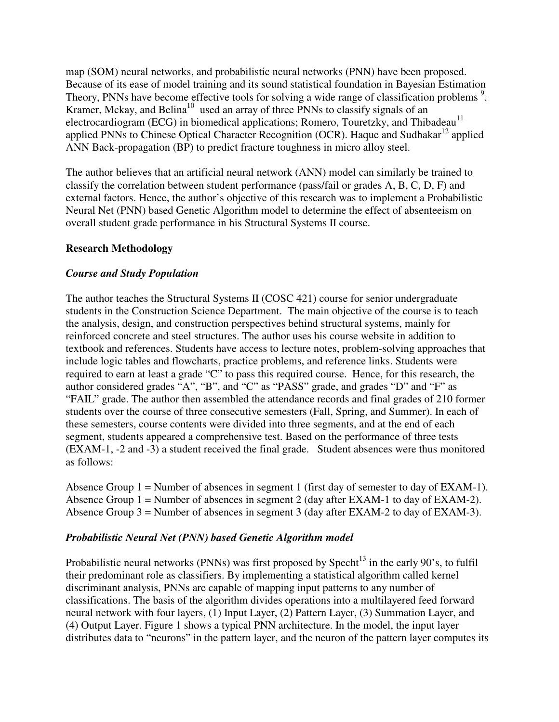map (SOM) neural networks, and probabilistic neural networks (PNN) have been proposed. Because of its ease of model training and its sound statistical foundation in Bayesian Estimation Theory, PNNs have become effective tools for solving a wide range of classification problems<sup>9</sup>. Kramer, Mckay, and Belina<sup>10</sup> used an array of three PNNs to classify signals of an electrocardiogram (ECG) in biomedical applications; Romero, Touretzky, and Thibadeau<sup>11</sup> applied PNNs to Chinese Optical Character Recognition (OCR). Haque and Sudhakar<sup>12</sup> applied ANN Back-propagation (BP) to predict fracture toughness in micro alloy steel.

The author believes that an artificial neural network (ANN) model can similarly be trained to classify the correlation between student performance (pass/fail or grades A, B, C, D, F) and external factors. Hence, the author's objective of this research was to implement a Probabilistic Neural Net (PNN) based Genetic Algorithm model to determine the effect of absenteeism on overall student grade performance in his Structural Systems II course.

### **Research Methodology**

# *Course and Study Population*

The author teaches the Structural Systems II (COSC 421) course for senior undergraduate students in the Construction Science Department. The main objective of the course is to teach the analysis, design, and construction perspectives behind structural systems, mainly for reinforced concrete and steel structures. The author uses his course website in addition to textbook and references. Students have access to lecture notes, problem-solving approaches that include logic tables and flowcharts, practice problems, and reference links. Students were required to earn at least a grade "C" to pass this required course. Hence, for this research, the author considered grades "A", "B", and "C" as "PASS" grade, and grades "D" and "F" as "FAIL" grade. The author then assembled the attendance records and final grades of 210 former students over the course of three consecutive semesters (Fall, Spring, and Summer). In each of these semesters, course contents were divided into three segments, and at the end of each segment, students appeared a comprehensive test. Based on the performance of three tests (EXAM-1, -2 and -3) a student received the final grade. Student absences were thus monitored as follows:

Absence Group 1 = Number of absences in segment 1 (first day of semester to day of EXAM-1). Absence Group  $1 =$  Number of absences in segment 2 (day after EXAM-1 to day of EXAM-2). Absence Group 3 = Number of absences in segment 3 (day after EXAM-2 to day of EXAM-3).

### *Probabilistic Neural Net (PNN) based Genetic Algorithm model*

Probabilistic neural networks (PNNs) was first proposed by Specht<sup>13</sup> in the early 90's, to fulfil their predominant role as classifiers. By implementing a statistical algorithm called kernel discriminant analysis, PNNs are capable of mapping input patterns to any number of classifications. The basis of the algorithm divides operations into a multilayered feed forward neural network with four layers, (1) Input Layer, (2) Pattern Layer, (3) Summation Layer, and (4) Output Layer. Figure 1 shows a typical PNN architecture. In the model, the input layer distributes data to "neurons" in the pattern layer, and the neuron of the pattern layer computes its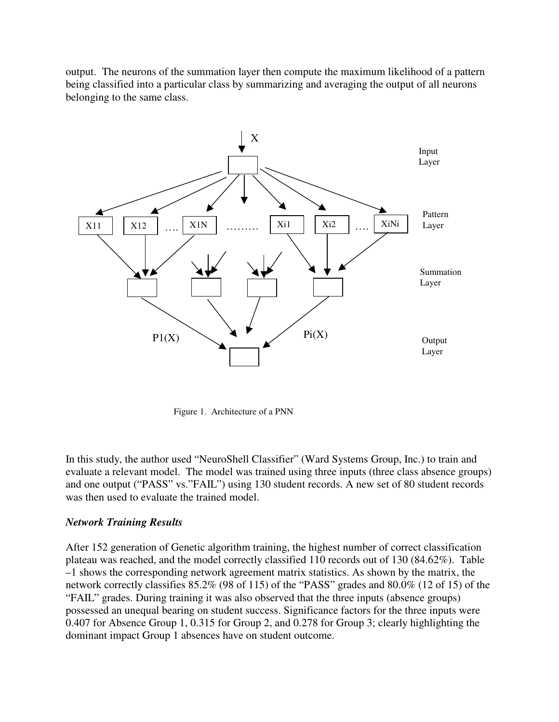output. The neurons of the summation layer then compute the maximum likelihood of a pattern being classified into a particular class by summarizing and averaging the output of all neurons belonging to the same class.



Figure 1. Architecture of a PNN

In this study, the author used "NeuroShell Classifier" (Ward Systems Group, Inc.) to train and evaluate a relevant model. The model was trained using three inputs (three class absence groups) and one output ("PASS" vs."FAIL") using 130 student records. A new set of 80 student records was then used to evaluate the trained model.

### *Network Training Results*

After 152 generation of Genetic algorithm training, the highest number of correct classification plateau was reached, and the model correctly classified 110 records out of 130 (84.62%). Table –1 shows the corresponding network agreement matrix statistics. As shown by the matrix, the network correctly classifies 85.2% (98 of 115) of the "PASS" grades and 80.0% (12 of 15) of the "FAIL" grades. During training it was also observed that the three inputs (absence groups) possessed an unequal bearing on student success. Significance factors for the three inputs were 0.407 for Absence Group 1, 0.315 for Group 2, and 0.278 for Group 3; clearly highlighting the dominant impact Group 1 absences have on student outcome.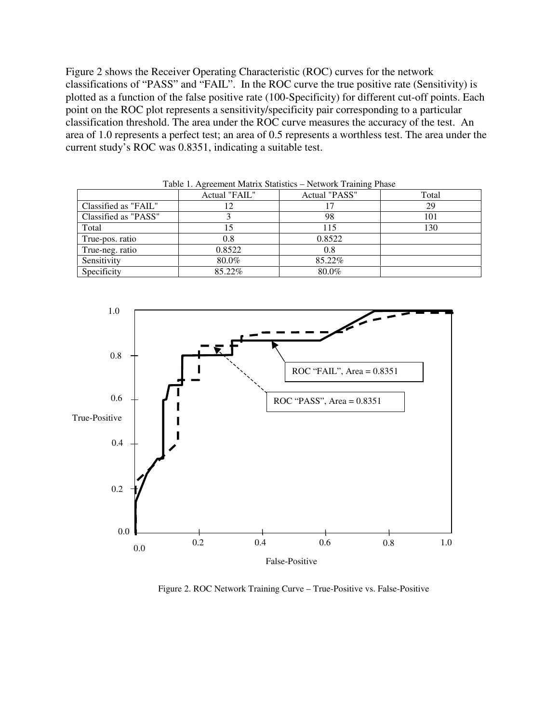Figure 2 shows the Receiver Operating Characteristic (ROC) curves for the network classifications of "PASS" and "FAIL". In the ROC curve the true positive rate (Sensitivity) is plotted as a function of the false positive rate (100-Specificity) for different cut-off points. Each point on the ROC plot represents a sensitivity/specificity pair corresponding to a particular classification threshold. The area under the ROC curve measures the accuracy of the test. An area of 1.0 represents a perfect test; an area of 0.5 represents a worthless test. The area under the current study's ROC was 0.8351, indicating a suitable test.

|                      | Actual "FAIL" | Actual "PASS" | Total |
|----------------------|---------------|---------------|-------|
| Classified as "FAIL" |               |               | 29    |
| Classified as "PASS" |               | 98            | 101   |
| Total                |               | 115           | 130   |
| True-pos. ratio      | 0.8           | 0.8522        |       |
| True-neg. ratio      | 0.8522        | 0.8           |       |
| Sensitivity          | 80.0%         | 85.22%        |       |
| Specificity          | 85.22%        | 80.0%         |       |

Table 1. Agreement Matrix Statistics – Network Training Phase



Figure 2. ROC Network Training Curve – True-Positive vs. False-Positive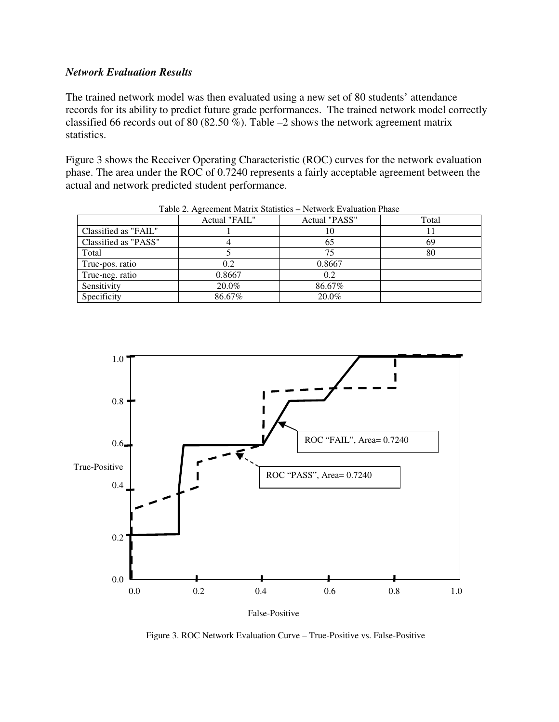### *Network Evaluation Results*

The trained network model was then evaluated using a new set of 80 students' attendance records for its ability to predict future grade performances. The trained network model correctly classified 66 records out of 80 (82.50 %). Table  $-2$  shows the network agreement matrix statistics.

Figure 3 shows the Receiver Operating Characteristic (ROC) curves for the network evaluation phase. The area under the ROC of 0.7240 represents a fairly acceptable agreement between the actual and network predicted student performance.

|                      | Actual "FAIL" | Actual "PASS" | Total |
|----------------------|---------------|---------------|-------|
| Classified as "FAIL" |               | 10            |       |
| Classified as "PASS" |               | 65            | 69    |
| Total                |               | 75            | 80    |
| True-pos. ratio      | 0.2           | 0.8667        |       |
| True-neg. ratio      | 0.8667        | 0.2           |       |
| Sensitivity          | 20.0%         | 86.67%        |       |
| Specificity          | 86.67%        | 20.0%         |       |

Table 2. Agreement Matrix Statistics – Network Evaluation Phase



Figure 3. ROC Network Evaluation Curve – True-Positive vs. False-Positive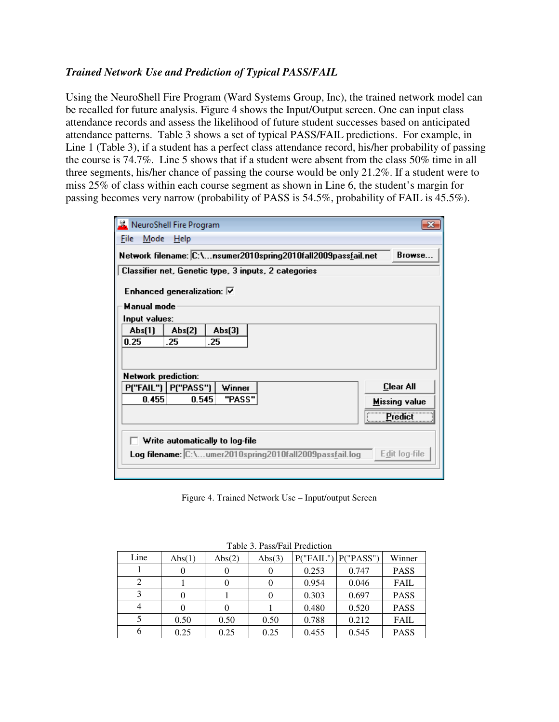# *Trained Network Use and Prediction of Typical PASS/FAIL*

Using the NeuroShell Fire Program (Ward Systems Group, Inc), the trained network model can be recalled for future analysis. Figure 4 shows the Input/Output screen. One can input class attendance records and assess the likelihood of future student successes based on anticipated attendance patterns. Table 3 shows a set of typical PASS/FAIL predictions. For example, in Line 1 (Table 3), if a student has a perfect class attendance record, his/her probability of passing the course is 74.7%. Line 5 shows that if a student were absent from the class 50% time in all three segments, his/her chance of passing the course would be only 21.2%. If a student were to miss 25% of class within each course segment as shown in Line 6, the student's margin for passing becomes very narrow (probability of PASS is 54.5%, probability of FAIL is 45.5%).

| NeuroShell Fire Program                                                  |                      |  |  |  |  |
|--------------------------------------------------------------------------|----------------------|--|--|--|--|
| Mode<br>Help<br>File                                                     |                      |  |  |  |  |
| Network filename: C:\nsumer2010spring2010fall2009passfail.net<br>Browse. |                      |  |  |  |  |
| Classifier net, Genetic type, 3 inputs, 2 categories                     |                      |  |  |  |  |
| Enhanced generalization: $\nabla$                                        |                      |  |  |  |  |
| <b>Manual mode</b>                                                       |                      |  |  |  |  |
| Input values:                                                            |                      |  |  |  |  |
| Abs(2)<br>Abs(1)<br>Abs(3)                                               |                      |  |  |  |  |
| 0.25<br>.25<br>.25                                                       |                      |  |  |  |  |
|                                                                          |                      |  |  |  |  |
|                                                                          |                      |  |  |  |  |
| <b>Network prediction:</b>                                               | <b>Clear All</b>     |  |  |  |  |
| P("FAIL")   P("PASS")<br>Winner                                          |                      |  |  |  |  |
| 0.455<br>0.545<br>"PASS"                                                 | <b>Missing value</b> |  |  |  |  |
|                                                                          | Predict              |  |  |  |  |
| $\Box$ Write automatically to log-file                                   |                      |  |  |  |  |
| Log filename: C:\umer2010spring2010fall2009passfail.log                  | Edit log-file        |  |  |  |  |
|                                                                          |                      |  |  |  |  |

Figure 4. Trained Network Use – Input/output Screen

| $10010$ $\sigma$ , $1000$ $\sigma$ and $1000$ |        |        |        |       |                       |             |  |
|-----------------------------------------------|--------|--------|--------|-------|-----------------------|-------------|--|
| Line                                          | Abs(1) | Abs(2) | Abs(3) |       | P("FAIL")   P("PASS") | Winner      |  |
|                                               |        |        |        | 0.253 | 0.747                 | <b>PASS</b> |  |
|                                               |        |        |        | 0.954 | 0.046                 | <b>FAIL</b> |  |
|                                               |        |        |        | 0.303 | 0.697                 | <b>PASS</b> |  |
|                                               |        |        |        | 0.480 | 0.520                 | <b>PASS</b> |  |
|                                               | 0.50   | 0.50   | 0.50   | 0.788 | 0.212                 | <b>FAIL</b> |  |
|                                               | 0.25   | 0.25   | 0.25   | 0.455 | 0.545                 | <b>PASS</b> |  |

Table 3. Pass/Fail Prediction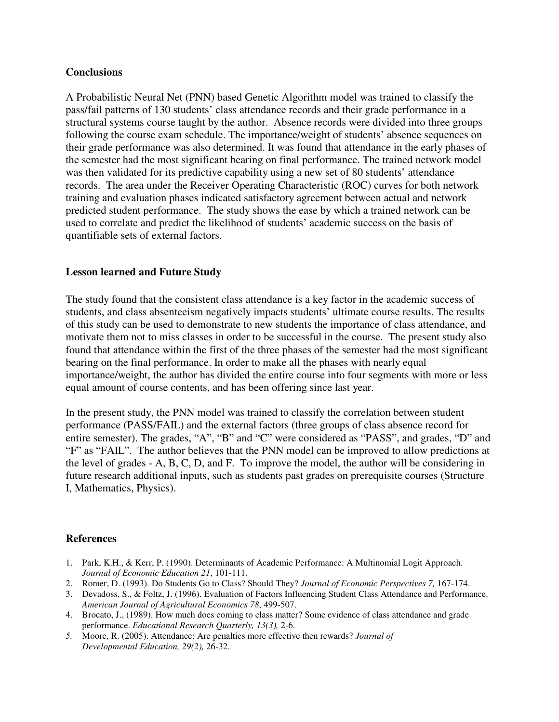### **Conclusions**

A Probabilistic Neural Net (PNN) based Genetic Algorithm model was trained to classify the pass/fail patterns of 130 students' class attendance records and their grade performance in a structural systems course taught by the author. Absence records were divided into three groups following the course exam schedule. The importance/weight of students' absence sequences on their grade performance was also determined. It was found that attendance in the early phases of the semester had the most significant bearing on final performance. The trained network model was then validated for its predictive capability using a new set of 80 students' attendance records. The area under the Receiver Operating Characteristic (ROC) curves for both network training and evaluation phases indicated satisfactory agreement between actual and network predicted student performance. The study shows the ease by which a trained network can be used to correlate and predict the likelihood of students' academic success on the basis of quantifiable sets of external factors.

# **Lesson learned and Future Study**

The study found that the consistent class attendance is a key factor in the academic success of students, and class absenteeism negatively impacts students' ultimate course results. The results of this study can be used to demonstrate to new students the importance of class attendance, and motivate them not to miss classes in order to be successful in the course. The present study also found that attendance within the first of the three phases of the semester had the most significant bearing on the final performance. In order to make all the phases with nearly equal importance/weight, the author has divided the entire course into four segments with more or less equal amount of course contents, and has been offering since last year.

In the present study, the PNN model was trained to classify the correlation between student performance (PASS/FAIL) and the external factors (three groups of class absence record for entire semester). The grades, "A", "B" and "C" were considered as "PASS", and grades, "D" and "F" as "FAIL". The author believes that the PNN model can be improved to allow predictions at the level of grades - A, B, C, D, and F. To improve the model, the author will be considering in future research additional inputs, such as students past grades on prerequisite courses (Structure I, Mathematics, Physics).

# **References**

- 1. Park, K.H., & Kerr, P. (1990). Determinants of Academic Performance: A Multinomial Logit Approach. *Journal of Economic Education 21*, 101-111.
- 2. Romer, D. (1993). Do Students Go to Class? Should They? *Journal of Economic Perspectives 7,* 167-174.
- 3. Devadoss, S., & Foltz, J. (1996). Evaluation of Factors Influencing Student Class Attendance and Performance. *American Journal of Agricultural Economics 78*, 499-507.
- 4. Brocato, J., (1989). How much does coming to class matter? Some evidence of class attendance and grade performance. *Educational Research Quarterly, 13(3),* 2-6.
- *5.* Moore, R. (2005). Attendance: Are penalties more effective then rewards? *Journal of Developmental Education, 29(2),* 26-32.